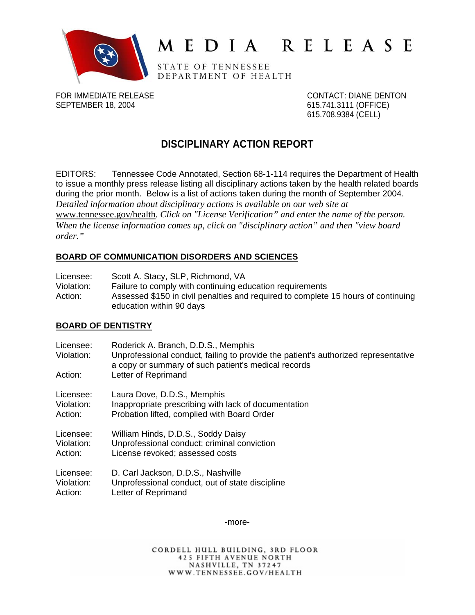

# MEDIA RELEASE

STATE OF TENNESSEE DEPARTMENT OF HEALTH

FOR IMMEDIATE RELEASE CONTACT: DIANE DENTON SEPTEMBER 18, 2004 615.741.3111 (OFFICE)

615.708.9384 (CELL)

# **DISCIPLINARY ACTION REPORT**

EDITORS: Tennessee Code Annotated, Section 68-1-114 requires the Department of Health to issue a monthly press release listing all disciplinary actions taken by the health related boards during the prior month. Below is a list of actions taken during the month of September 2004. *Detailed information about disciplinary actions is available on our web site at*  www.tennessee.gov/health*. Click on "License Verification" and enter the name of the person. When the license information comes up, click on "disciplinary action" and then "view board order."* 

#### **BOARD OF COMMUNICATION DISORDERS AND SCIENCES**

| Licensee:  | Scott A. Stacy, SLP, Richmond, VA                                                 |
|------------|-----------------------------------------------------------------------------------|
| Violation: | Failure to comply with continuing education requirements                          |
| Action:    | Assessed \$150 in civil penalties and required to complete 15 hours of continuing |
|            | education within 90 days                                                          |

#### **BOARD OF DENTISTRY**

| Licensee:<br>Violation: | Roderick A. Branch, D.D.S., Memphis<br>Unprofessional conduct, failing to provide the patient's authorized representative<br>a copy or summary of such patient's medical records |
|-------------------------|----------------------------------------------------------------------------------------------------------------------------------------------------------------------------------|
| Action:                 | Letter of Reprimand                                                                                                                                                              |
| Licensee:               | Laura Dove, D.D.S., Memphis                                                                                                                                                      |
| Violation:              | Inappropriate prescribing with lack of documentation                                                                                                                             |
| Action:                 | Probation lifted, complied with Board Order                                                                                                                                      |
| Licensee:               | William Hinds, D.D.S., Soddy Daisy                                                                                                                                               |
| Violation:              | Unprofessional conduct; criminal conviction                                                                                                                                      |
| Action:                 | License revoked; assessed costs                                                                                                                                                  |
| Licensee:               | D. Carl Jackson, D.D.S., Nashville                                                                                                                                               |
| Violation:              | Unprofessional conduct, out of state discipline                                                                                                                                  |
| Action:                 | Letter of Reprimand                                                                                                                                                              |

-more-

CORDELL HULL BUILDING, 3RD FLOOR **425 FIFTH AVENUE NORTH** NASHVILLE, TN 37247 WWW.TENNESSEE.GOV/HEALTH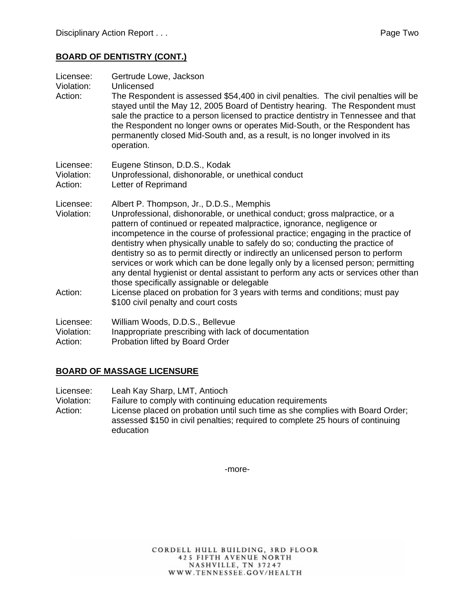# **BOARD OF DENTISTRY (CONT.)**

| Licensee:<br>Violation:<br>Action: | Gertrude Lowe, Jackson<br>Unlicensed<br>The Respondent is assessed \$54,400 in civil penalties. The civil penalties will be<br>stayed until the May 12, 2005 Board of Dentistry hearing. The Respondent must<br>sale the practice to a person licensed to practice dentistry in Tennessee and that<br>the Respondent no longer owns or operates Mid-South, or the Respondent has<br>permanently closed Mid-South and, as a result, is no longer involved in its<br>operation.                                                                                                                                                                                                                                                                                                                            |
|------------------------------------|----------------------------------------------------------------------------------------------------------------------------------------------------------------------------------------------------------------------------------------------------------------------------------------------------------------------------------------------------------------------------------------------------------------------------------------------------------------------------------------------------------------------------------------------------------------------------------------------------------------------------------------------------------------------------------------------------------------------------------------------------------------------------------------------------------|
| Licensee:                          | Eugene Stinson, D.D.S., Kodak                                                                                                                                                                                                                                                                                                                                                                                                                                                                                                                                                                                                                                                                                                                                                                            |
| Violation:                         | Unprofessional, dishonorable, or unethical conduct                                                                                                                                                                                                                                                                                                                                                                                                                                                                                                                                                                                                                                                                                                                                                       |
| Action:                            | Letter of Reprimand                                                                                                                                                                                                                                                                                                                                                                                                                                                                                                                                                                                                                                                                                                                                                                                      |
| Licensee:<br>Violation:<br>Action: | Albert P. Thompson, Jr., D.D.S., Memphis<br>Unprofessional, dishonorable, or unethical conduct; gross malpractice, or a<br>pattern of continued or repeated malpractice, ignorance, negligence or<br>incompetence in the course of professional practice; engaging in the practice of<br>dentistry when physically unable to safely do so; conducting the practice of<br>dentistry so as to permit directly or indirectly an unlicensed person to perform<br>services or work which can be done legally only by a licensed person; permitting<br>any dental hygienist or dental assistant to perform any acts or services other than<br>those specifically assignable or delegable<br>License placed on probation for 3 years with terms and conditions; must pay<br>\$100 civil penalty and court costs |
| Licensee:                          | William Woods, D.D.S., Bellevue                                                                                                                                                                                                                                                                                                                                                                                                                                                                                                                                                                                                                                                                                                                                                                          |
| Violation:                         | Inappropriate prescribing with lack of documentation                                                                                                                                                                                                                                                                                                                                                                                                                                                                                                                                                                                                                                                                                                                                                     |
| Action:                            | Probation lifted by Board Order                                                                                                                                                                                                                                                                                                                                                                                                                                                                                                                                                                                                                                                                                                                                                                          |

#### **BOARD OF MASSAGE LICENSURE**

Licensee: Leah Kay Sharp, LMT, Antioch

Violation: Failure to comply with continuing education requirements Action: License placed on probation until such time as she complies with Board Order;

assessed \$150 in civil penalties; required to complete 25 hours of continuing education

-more-

CORDELL HULL BUILDING, 3RD FLOOR **425 FIFTH AVENUE NORTH** NASHVILLE, TN 37247 WWW.TENNESSEE.GOV/HEALTH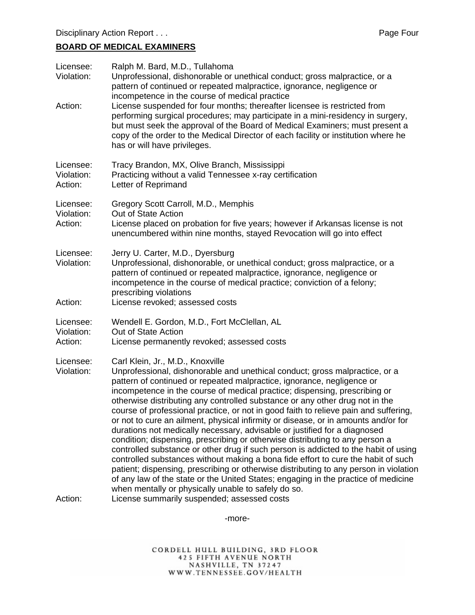# **BOARD OF MEDICAL EXAMINERS**

| Licensee:<br>Violation:            | Ralph M. Bard, M.D., Tullahoma<br>Unprofessional, dishonorable or unethical conduct; gross malpractice, or a<br>pattern of continued or repeated malpractice, ignorance, negligence or<br>incompetence in the course of medical practice                                                                                                                                                                                                                                                                                                                                                                                                                                                                                                                                                                                                                                                                                                                                                                                                                                                                             |
|------------------------------------|----------------------------------------------------------------------------------------------------------------------------------------------------------------------------------------------------------------------------------------------------------------------------------------------------------------------------------------------------------------------------------------------------------------------------------------------------------------------------------------------------------------------------------------------------------------------------------------------------------------------------------------------------------------------------------------------------------------------------------------------------------------------------------------------------------------------------------------------------------------------------------------------------------------------------------------------------------------------------------------------------------------------------------------------------------------------------------------------------------------------|
| Action:                            | License suspended for four months; thereafter licensee is restricted from<br>performing surgical procedures; may participate in a mini-residency in surgery,<br>but must seek the approval of the Board of Medical Examiners; must present a<br>copy of the order to the Medical Director of each facility or institution where he<br>has or will have privileges.                                                                                                                                                                                                                                                                                                                                                                                                                                                                                                                                                                                                                                                                                                                                                   |
| Licensee:<br>Violation:<br>Action: | Tracy Brandon, MX, Olive Branch, Mississippi<br>Practicing without a valid Tennessee x-ray certification<br>Letter of Reprimand                                                                                                                                                                                                                                                                                                                                                                                                                                                                                                                                                                                                                                                                                                                                                                                                                                                                                                                                                                                      |
| Licensee:<br>Violation:            | Gregory Scott Carroll, M.D., Memphis<br>Out of State Action                                                                                                                                                                                                                                                                                                                                                                                                                                                                                                                                                                                                                                                                                                                                                                                                                                                                                                                                                                                                                                                          |
| Action:                            | License placed on probation for five years; however if Arkansas license is not<br>unencumbered within nine months, stayed Revocation will go into effect                                                                                                                                                                                                                                                                                                                                                                                                                                                                                                                                                                                                                                                                                                                                                                                                                                                                                                                                                             |
| Licensee:<br>Violation:            | Jerry U. Carter, M.D., Dyersburg<br>Unprofessional, dishonorable, or unethical conduct; gross malpractice, or a<br>pattern of continued or repeated malpractice, ignorance, negligence or<br>incompetence in the course of medical practice; conviction of a felony;<br>prescribing violations                                                                                                                                                                                                                                                                                                                                                                                                                                                                                                                                                                                                                                                                                                                                                                                                                       |
| Action:                            | License revoked; assessed costs                                                                                                                                                                                                                                                                                                                                                                                                                                                                                                                                                                                                                                                                                                                                                                                                                                                                                                                                                                                                                                                                                      |
| Licensee:<br>Violation:<br>Action: | Wendell E. Gordon, M.D., Fort McClellan, AL<br>Out of State Action<br>License permanently revoked; assessed costs                                                                                                                                                                                                                                                                                                                                                                                                                                                                                                                                                                                                                                                                                                                                                                                                                                                                                                                                                                                                    |
| Licensee:<br>Violation:            | Carl Klein, Jr., M.D., Knoxville<br>Unprofessional, dishonorable and unethical conduct; gross malpractice, or a<br>pattern of continued or repeated malpractice, ignorance, negligence or<br>incompetence in the course of medical practice; dispensing, prescribing or<br>otherwise distributing any controlled substance or any other drug not in the<br>course of professional practice, or not in good faith to relieve pain and suffering,<br>or not to cure an ailment, physical infirmity or disease, or in amounts and/or for<br>durations not medically necessary, advisable or justified for a diagnosed<br>condition; dispensing, prescribing or otherwise distributing to any person a<br>controlled substance or other drug if such person is addicted to the habit of using<br>controlled substances without making a bona fide effort to cure the habit of such<br>patient; dispensing, prescribing or otherwise distributing to any person in violation<br>of any law of the state or the United States; engaging in the practice of medicine<br>when mentally or physically unable to safely do so. |
| Action:                            | License summarily suspended; assessed costs                                                                                                                                                                                                                                                                                                                                                                                                                                                                                                                                                                                                                                                                                                                                                                                                                                                                                                                                                                                                                                                                          |

-more-

CORDELL HULL BUILDING, 3RD FLOOR<br>425 FIFTH AVENUE NORTH<br>NASHVILLE, TN 37247<br>WWW.TENNESSEE.GOV/HEALTH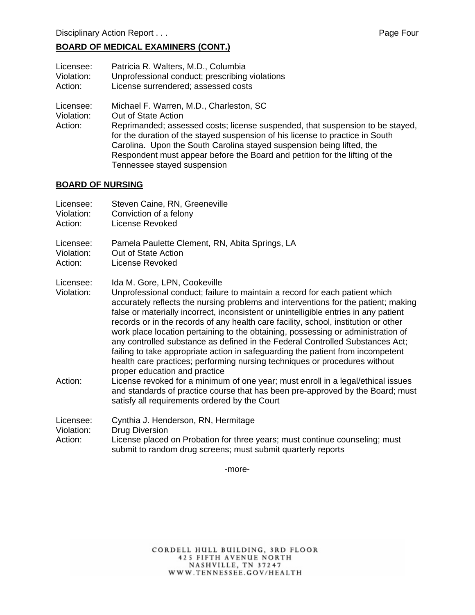### **BOARD OF MEDICAL EXAMINERS (CONT.)**

| Licensee:                          | Patricia R. Walters, M.D., Columbia                                                                                                                                                                                                                                                                                                                                                                                     |
|------------------------------------|-------------------------------------------------------------------------------------------------------------------------------------------------------------------------------------------------------------------------------------------------------------------------------------------------------------------------------------------------------------------------------------------------------------------------|
| Violation:                         | Unprofessional conduct; prescribing violations                                                                                                                                                                                                                                                                                                                                                                          |
| Action:                            | License surrendered; assessed costs                                                                                                                                                                                                                                                                                                                                                                                     |
| Licensee:<br>Violation:<br>Action: | Michael F. Warren, M.D., Charleston, SC<br>Out of State Action<br>Reprimanded; assessed costs; license suspended, that suspension to be stayed,<br>for the duration of the stayed suspension of his license to practice in South<br>Carolina. Upon the South Carolina stayed suspension being lifted, the<br>Respondent must appear before the Board and petition for the lifting of the<br>Tennessee stayed suspension |

#### **BOARD OF NURSING**

| Licensee:<br>Violation:<br>Action: | Steven Caine, RN, Greeneville<br>Conviction of a felony<br>License Revoked                                                                                                                                                                                                                                                                                                                                                                                                                                                                                                                                                                                                                                                                              |
|------------------------------------|---------------------------------------------------------------------------------------------------------------------------------------------------------------------------------------------------------------------------------------------------------------------------------------------------------------------------------------------------------------------------------------------------------------------------------------------------------------------------------------------------------------------------------------------------------------------------------------------------------------------------------------------------------------------------------------------------------------------------------------------------------|
| Licensee:<br>Violation:<br>Action: | Pamela Paulette Clement, RN, Abita Springs, LA<br>Out of State Action<br>License Revoked                                                                                                                                                                                                                                                                                                                                                                                                                                                                                                                                                                                                                                                                |
| Licensee:<br>Violation:            | Ida M. Gore, LPN, Cookeville<br>Unprofessional conduct; failure to maintain a record for each patient which<br>accurately reflects the nursing problems and interventions for the patient; making<br>false or materially incorrect, inconsistent or unintelligible entries in any patient<br>records or in the records of any health care facility, school, institution or other<br>work place location pertaining to the obtaining, possessing or administration of<br>any controlled substance as defined in the Federal Controlled Substances Act;<br>failing to take appropriate action in safeguarding the patient from incompetent<br>health care practices; performing nursing techniques or procedures without<br>proper education and practice |
| Action:                            | License revoked for a minimum of one year; must enroll in a legal/ethical issues<br>and standards of practice course that has been pre-approved by the Board; must<br>satisfy all requirements ordered by the Court                                                                                                                                                                                                                                                                                                                                                                                                                                                                                                                                     |
| Licensee:<br>Violation:<br>Action: | Cynthia J. Henderson, RN, Hermitage<br><b>Drug Diversion</b><br>License placed on Probation for three years; must continue counseling; must<br>submit to random drug screens; must submit quarterly reports                                                                                                                                                                                                                                                                                                                                                                                                                                                                                                                                             |

-more-

CORDELL HULL BUILDING, 3RD FLOOR 425 FIFTH AVENUE NORTH<br>NASHVILLE, TN 37247<br>WWW.TENNESSEE.GOV/HEALTH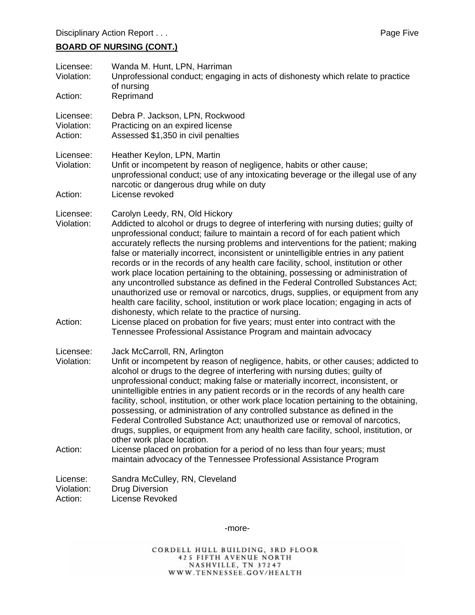# **BOARD OF NURSING (CONT.)**

| Licensee:<br>Violation:<br>Action: | Wanda M. Hunt, LPN, Harriman<br>Unprofessional conduct; engaging in acts of dishonesty which relate to practice<br>of nursing<br>Reprimand                                                                                                                                                                                                                                                                                                                                                                                                                                                                                                                                                                                                                                                                                                                                                                                                                                                                                                    |
|------------------------------------|-----------------------------------------------------------------------------------------------------------------------------------------------------------------------------------------------------------------------------------------------------------------------------------------------------------------------------------------------------------------------------------------------------------------------------------------------------------------------------------------------------------------------------------------------------------------------------------------------------------------------------------------------------------------------------------------------------------------------------------------------------------------------------------------------------------------------------------------------------------------------------------------------------------------------------------------------------------------------------------------------------------------------------------------------|
| Licensee:<br>Violation:<br>Action: | Debra P. Jackson, LPN, Rockwood<br>Practicing on an expired license<br>Assessed \$1,350 in civil penalties                                                                                                                                                                                                                                                                                                                                                                                                                                                                                                                                                                                                                                                                                                                                                                                                                                                                                                                                    |
| Licensee:<br>Violation:<br>Action: | Heather Keylon, LPN, Martin<br>Unfit or incompetent by reason of negligence, habits or other cause;<br>unprofessional conduct; use of any intoxicating beverage or the illegal use of any<br>narcotic or dangerous drug while on duty<br>License revoked                                                                                                                                                                                                                                                                                                                                                                                                                                                                                                                                                                                                                                                                                                                                                                                      |
| Licensee:<br>Violation:<br>Action: | Carolyn Leedy, RN, Old Hickory<br>Addicted to alcohol or drugs to degree of interfering with nursing duties; guilty of<br>unprofessional conduct; failure to maintain a record of for each patient which<br>accurately reflects the nursing problems and interventions for the patient; making<br>false or materially incorrect, inconsistent or unintelligible entries in any patient<br>records or in the records of any health care facility, school, institution or other<br>work place location pertaining to the obtaining, possessing or administration of<br>any uncontrolled substance as defined in the Federal Controlled Substances Act;<br>unauthorized use or removal or narcotics, drugs, supplies, or equipment from any<br>health care facility, school, institution or work place location; engaging in acts of<br>dishonesty, which relate to the practice of nursing.<br>License placed on probation for five years; must enter into contract with the<br>Tennessee Professional Assistance Program and maintain advocacy |
| Licensee:<br>Violation:<br>Action: | Jack McCarroll, RN, Arlington<br>Unfit or incompetent by reason of negligence, habits, or other causes; addicted to<br>alcohol or drugs to the degree of interfering with nursing duties; guilty of<br>unprofessional conduct; making false or materially incorrect, inconsistent, or<br>unintelligible entries in any patient records or in the records of any health care<br>facility, school, institution, or other work place location pertaining to the obtaining,<br>possessing, or administration of any controlled substance as defined in the<br>Federal Controlled Substance Act; unauthorized use or removal of narcotics,<br>drugs, supplies, or equipment from any health care facility, school, institution, or<br>other work place location.<br>License placed on probation for a period of no less than four years; must<br>maintain advocacy of the Tennessee Professional Assistance Program                                                                                                                                |
| License:<br>Violation:<br>Action:  | Sandra McCulley, RN, Cleveland<br><b>Drug Diversion</b><br>License Revoked                                                                                                                                                                                                                                                                                                                                                                                                                                                                                                                                                                                                                                                                                                                                                                                                                                                                                                                                                                    |

-more-

CORDELL HULL BUILDING, 3RD FLOOR<br>425 FIFTH AVENUE NORTH<br>NASHVILLE, TN 37247<br>WWW.TENNESSEE.GOV/HEALTH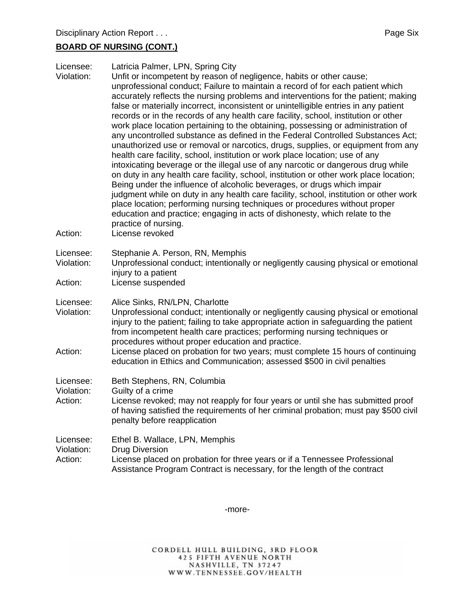#### **BOARD OF NURSING (CONT.)**

| Licensee:<br>Violation:<br>Action: | Latricia Palmer, LPN, Spring City<br>Unfit or incompetent by reason of negligence, habits or other cause;<br>unprofessional conduct; Failure to maintain a record of for each patient which<br>accurately reflects the nursing problems and interventions for the patient; making<br>false or materially incorrect, inconsistent or unintelligible entries in any patient<br>records or in the records of any health care facility, school, institution or other<br>work place location pertaining to the obtaining, possessing or administration of<br>any uncontrolled substance as defined in the Federal Controlled Substances Act;<br>unauthorized use or removal or narcotics, drugs, supplies, or equipment from any<br>health care facility, school, institution or work place location; use of any<br>intoxicating beverage or the illegal use of any narcotic or dangerous drug while<br>on duty in any health care facility, school, institution or other work place location;<br>Being under the influence of alcoholic beverages, or drugs which impair<br>judgment while on duty in any health care facility, school, institution or other work<br>place location; performing nursing techniques or procedures without proper<br>education and practice; engaging in acts of dishonesty, which relate to the<br>practice of nursing.<br>License revoked |
|------------------------------------|-----------------------------------------------------------------------------------------------------------------------------------------------------------------------------------------------------------------------------------------------------------------------------------------------------------------------------------------------------------------------------------------------------------------------------------------------------------------------------------------------------------------------------------------------------------------------------------------------------------------------------------------------------------------------------------------------------------------------------------------------------------------------------------------------------------------------------------------------------------------------------------------------------------------------------------------------------------------------------------------------------------------------------------------------------------------------------------------------------------------------------------------------------------------------------------------------------------------------------------------------------------------------------------------------------------------------------------------------------------------------|
| Licensee:<br>Violation:<br>Action: | Stephanie A. Person, RN, Memphis<br>Unprofessional conduct; intentionally or negligently causing physical or emotional<br>injury to a patient                                                                                                                                                                                                                                                                                                                                                                                                                                                                                                                                                                                                                                                                                                                                                                                                                                                                                                                                                                                                                                                                                                                                                                                                                         |
| Licensee:<br>Violation:<br>Action: | License suspended<br>Alice Sinks, RN/LPN, Charlotte<br>Unprofessional conduct; intentionally or negligently causing physical or emotional<br>injury to the patient; failing to take appropriate action in safeguarding the patient<br>from incompetent health care practices; performing nursing techniques or<br>procedures without proper education and practice.<br>License placed on probation for two years; must complete 15 hours of continuing<br>education in Ethics and Communication; assessed \$500 in civil penalties                                                                                                                                                                                                                                                                                                                                                                                                                                                                                                                                                                                                                                                                                                                                                                                                                                    |
| Licensee:<br>Violation:<br>Action: | Beth Stephens, RN, Columbia<br>Guilty of a crime<br>License revoked; may not reapply for four years or until she has submitted proof<br>of having satisfied the requirements of her criminal probation; must pay \$500 civil<br>penalty before reapplication                                                                                                                                                                                                                                                                                                                                                                                                                                                                                                                                                                                                                                                                                                                                                                                                                                                                                                                                                                                                                                                                                                          |
| Licensee:<br>Violation:<br>Action: | Ethel B. Wallace, LPN, Memphis<br><b>Drug Diversion</b><br>License placed on probation for three years or if a Tennessee Professional<br>Assistance Program Contract is necessary, for the length of the contract                                                                                                                                                                                                                                                                                                                                                                                                                                                                                                                                                                                                                                                                                                                                                                                                                                                                                                                                                                                                                                                                                                                                                     |

-more-

CORDELL HULL BUILDING, 3RD FLOOR 425 FIFTH AVENUE NORTH<br>NASHVILLE, TN 37247<br>WWW.TENNESSEE.GOV/HEALTH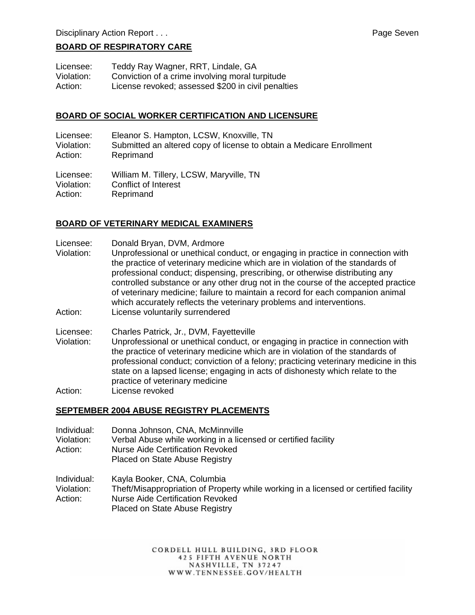#### **BOARD OF RESPIRATORY CARE**

Licensee: Teddy Ray Wagner, RRT, Lindale, GA Violation: Conviction of a crime involving moral turpitude Action: License revoked; assessed \$200 in civil penalties

#### **BOARD OF SOCIAL WORKER CERTIFICATION AND LICENSURE**

Licensee: Eleanor S. Hampton, LCSW, Knoxville, TN Violation: Submitted an altered copy of license to obtain a Medicare Enrollment Action: Reprimand

Licensee: William M. Tillery, LCSW, Maryville, TN Violation: Conflict of Interest Action: Reprimand

#### **BOARD OF VETERINARY MEDICAL EXAMINERS**

- Licensee: Donald Bryan, DVM, Ardmore
- Violation: Unprofessional or unethical conduct, or engaging in practice in connection with the practice of veterinary medicine which are in violation of the standards of professional conduct; dispensing, prescribing, or otherwise distributing any controlled substance or any other drug not in the course of the accepted practice of veterinary medicine; failure to maintain a record for each companion animal which accurately reflects the veterinary problems and interventions.
- Action: License voluntarily surrendered
- Licensee: Charles Patrick, Jr., DVM, Fayetteville
- Violation: Unprofessional or unethical conduct, or engaging in practice in connection with the practice of veterinary medicine which are in violation of the standards of professional conduct; conviction of a felony; practicing veterinary medicine in this state on a lapsed license; engaging in acts of dishonesty which relate to the practice of veterinary medicine Action: License revoked
- 

#### **SEPTEMBER 2004 ABUSE REGISTRY PLACEMENTS**

- Individual: Donna Johnson, CNA, McMinnville
- Violation: Verbal Abuse while working in a licensed or certified facility
- Action: Nurse Aide Certification Revoked
	- Placed on State Abuse Registry

Individual: Kayla Booker, CNA, Columbia

Violation: Theft/Misappropriation of Property while working in a licensed or certified facility Action: Nurse Aide Certification Revoked Placed on State Abuse Registry

> CORDELL HULL BUILDING, 3RD FLOOR 425 FIFTH AVENUE NORTH NASHVILLE, TN 37247 WWW.TENNESSEE.GOV/HEALTH